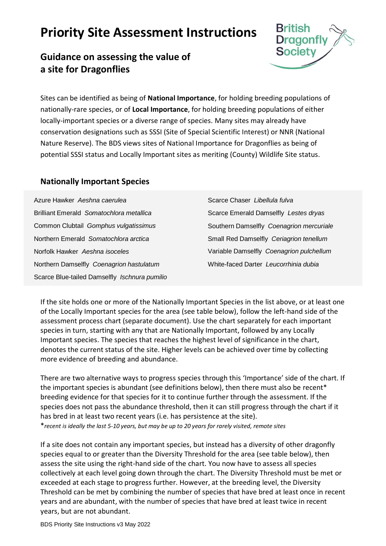## **Priority Site Assessment Instructions**





Sites can be identified as being of **National Importance**, for holding breeding populations of nationally-rare species, or of **Local Importance**, for holding breeding populations of either locally-important species or a diverse range of species. Many sites may already have conservation designations such as SSSI (Site of Special Scientific Interest) or NNR (National Nature Reserve). The BDS views sites of National Importance for Dragonflies as being of potential SSSI status and Locally Important sites as meriting (County) Wildlife Site status.

## **Nationally Important Species**

| Azure Hawker Aeshna caerulea                  | Scarce Chaser Libellula fulva            |
|-----------------------------------------------|------------------------------------------|
| Brilliant Emerald Somatochlora metallica      | Scarce Emerald Damselfly Lestes dryas    |
| Common Clubtail Gomphus vulgatissimus         | Southern Damselfly Coenagrion mercuriale |
| Northern Emerald Somatochlora arctica         | Small Red Damselfly Ceriagrion tenellum  |
| Norfolk Hawker Aeshna isoceles                | Variable Damselfly Coenagrion pulchellum |
| Northern Damselfly Coenagrion hastulatum      | White-faced Darter Leucorrhinia dubia    |
| Scarce Blue-tailed Damselfly Ischnura pumilio |                                          |

If the site holds one or more of the Nationally Important Species in the list above, or at least one of the Locally Important species for the area (see table below), follow the left-hand side of the assessment process chart (separate document). Use the chart separately for each important species in turn, starting with any that are Nationally Important, followed by any Locally Important species. The species that reaches the highest level of significance in the chart, denotes the current status of the site. Higher levels can be achieved over time by collecting more evidence of breeding and abundance.

There are two alternative ways to progress species through this 'Importance' side of the chart. If the important species is abundant (see definitions below), then there must also be recent<sup>\*</sup> breeding evidence for that species for it to continue further through the assessment. If the species does not pass the abundance threshold, then it can still progress through the chart if it has bred in at least two recent years (i.e. has persistence at the site). \**recent is ideally the last 5-10 years, but may be up to 20 years for rarely visited, remote sites*

If a site does not contain any important species, but instead has a diversity of other dragonfly species equal to or greater than the Diversity Threshold for the area (see table below), then assess the site using the right-hand side of the chart. You now have to assess all species collectively at each level going down through the chart. The Diversity Threshold must be met or exceeded at each stage to progress further. However, at the breeding level, the Diversity Threshold can be met by combining the number of species that have bred at least once in recent years and are abundant, with the number of species that have bred at least twice in recent years, but are not abundant.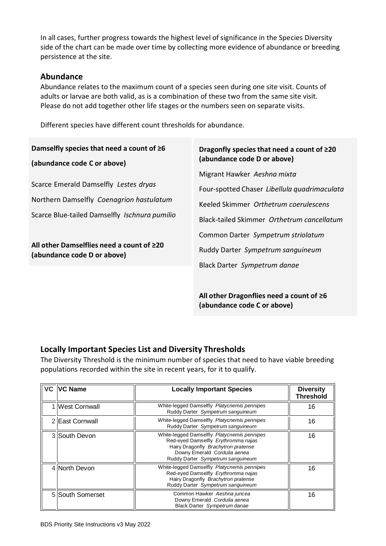In all cases, further progress towards the highest level of significance in the Species Diversity side of the chart can be made over time by collecting more evidence of abundance or breeding persistence at the site.

## **Abundance**

Abundance relates to the maximum count of a species seen during one site visit. Counts of adults or larvae are both valid, as is a combination of these two from the same site visit. Please do not add together other life stages or the numbers seen on separate visits.

Different species have different count thresholds for abundance.

| Damselfly species that need a count of $\geq 6$                                   | Dragonfly species that need a count of $\geq 20$                                                                     |  |
|-----------------------------------------------------------------------------------|----------------------------------------------------------------------------------------------------------------------|--|
| (abundance code C or above)                                                       | (abundance code D or above)                                                                                          |  |
| Scarce Emerald Damselfly Lestes dryas<br>Northern Damselfly Coenagrion hastulatum | Migrant Hawker Aeshna mixta<br>Four-spotted Chaser Libellula quadrimaculata<br>Keeled Skimmer Orthetrum coerulescens |  |
| Scarce Blue-tailed Damselfly Ischnura pumilio                                     | Black-tailed Skimmer Orthetrum cancellatum<br>Common Darter Sympetrum striolatum                                     |  |
| All other Damselflies need a count of ≥20                                         | Ruddy Darter Sympetrum sanguineum                                                                                    |  |
| (abundance code D or above)                                                       | Black Darter Sympetrum danae                                                                                         |  |

**All other Dragonflies need a count of ≥6 (abundance code C or above)**

## **Locally Important Species List and Diversity Thresholds**

The Diversity Threshold is the minimum number of species that need to have viable breeding populations recorded within the site in recent years, for it to qualify.

| VC   VC Name     | <b>Locally Important Species</b>                                                                                                                                                               | <b>Diversity</b><br><b>Threshold</b> |
|------------------|------------------------------------------------------------------------------------------------------------------------------------------------------------------------------------------------|--------------------------------------|
| 1 West Cornwall  | White-legged Damselfly Platycnemis pennipes<br>Ruddy Darter Sympetrum sanguineum                                                                                                               | 16                                   |
| 2 East Cornwall  | White-legged Damselfly Platycnemis pennipes<br>Ruddy Darter Sympetrum sanguineum                                                                                                               | 16                                   |
| 3 South Devon    | White-legged Damselfly Platycnemis pennipes<br>Red-eyed Damselfly Erythromma najas<br>Hairy Dragonfly Brachytron pratense<br>Downy Emerald Cordulia aenea<br>Ruddy Darter Sympetrum sanguineum | 16                                   |
| 4 North Devon    | White-legged Damselfly Platycnemis pennipes<br>Red-eyed Damselfly Erythromma najas<br>Hairy Dragonfly Brachytron pratense<br>Ruddy Darter Sympetrum sanguineum                                 | 16                                   |
| 5 South Somerset | Common Hawker Aeshna juncea<br>Downy Emerald Cordulia aenea<br>Black Darter Sympetrum danae                                                                                                    | 16                                   |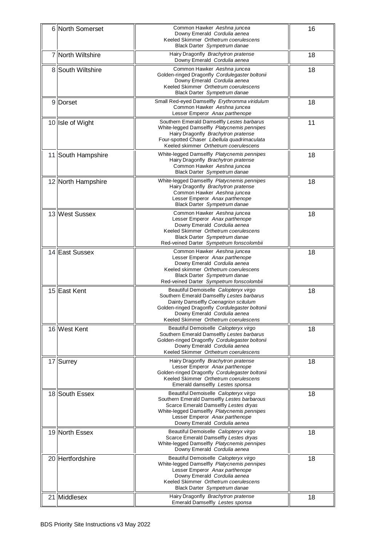| 6<br>North Somerset             | Common Hawker Aeshna juncea<br>Downy Emerald Cordulia aenea<br>Keeled Skimmer Orthetrum coerulescens<br>Black Darter Sympetrum danae                                                                                                                   | 16 |
|---------------------------------|--------------------------------------------------------------------------------------------------------------------------------------------------------------------------------------------------------------------------------------------------------|----|
| North Wiltshire<br>71           | Hairy Dragonfly Brachytron pratense<br>Downy Emerald Cordulia aenea                                                                                                                                                                                    | 18 |
| 8 South Wiltshire               | Common Hawker Aeshna juncea<br>Golden-ringed Dragonfly Cordulegaster boltonii<br>Downy Emerald Cordulia aenea<br>Keeled Skimmer Orthetrum coerulescens<br>Black Darter Sympetrum danae                                                                 | 18 |
| $\overline{9}$<br><b>Dorset</b> | Small Red-eyed Damselfly Erythromma viridulum<br>Common Hawker Aeshna juncea<br>Lesser Emperor Anax parthenope                                                                                                                                         | 18 |
| 10 Isle of Wight                | Southern Emerald Damselfly Lestes barbarus<br>White-legged Damselfly Platycnemis pennipes<br>Hairy Dragonfly Brachytron pratense<br>Four-spotted Chaser Libellula quadrimaculata<br>Keeled skimmer Orthetrum coerulescens                              | 11 |
| 11 South Hampshire              | White-legged Damselfly Platycnemis pennipes<br>Hairy Dragonfly Brachytron pratense<br>Common Hawker Aeshna juncea<br>Black Darter Sympetrum danae                                                                                                      | 18 |
| 12 North Hampshire              | White-legged Damselfly Platycnemis pennipes<br>Hairy Dragonfly Brachytron pratense<br>Common Hawker Aeshna juncea<br>Lesser Emperor Anax parthenope<br>Black Darter Sympetrum danae                                                                    | 18 |
| 13 West Sussex                  | Common Hawker Aeshna juncea<br>Lesser Emperor Anax parthenope<br>Downy Emerald Cordulia aenea<br>Keeled Skimmer Orthetrum coerulescens<br>Black Darter Sympetrum danae<br>Red-veined Darter Sympetrum fonscolombii                                     | 18 |
| 14 East Sussex                  | Common Hawker Aeshna juncea<br>Lesser Emperor Anax parthenope<br>Downy Emerald Cordulia aenea<br>Keeled skimmer Orthetrum coerulescens<br>Black Darter Sympetrum danae<br>Red-veined Darter Sympetrum fonscolombii                                     | 18 |
| 15 East Kent                    | Beautiful Demoiselle Calopteryx virgo<br>Southern Emerald Damselfly Lestes barbarus<br>Dainty Damselfly Coenagrion scitulum<br>Golden-ringed Dragonfly Cordulegaster boltonii<br>Downy Emerald Cordulia aenea<br>Keeled Skimmer Orthetrum coerulescens | 18 |
| 16 West Kent                    | Beautiful Demoiselle Calopteryx virgo<br>Southern Emerald Damselfly Lestes barbarus<br>Golden-ringed Dragonfly Cordulegaster boltonii<br>Downy Emerald Cordulia aenea<br>Keeled Skimmer Orthetrum coerulescens                                         | 18 |
| 17 Surrey                       | Hairy Dragonfly Brachytron pratense<br>Lesser Emperor Anax parthenope<br>Golden-ringed Dragonfly Cordulegaster boltonii<br>Keeled Skimmer Orthetrum coerulescens<br>Emerald damselfly Lestes sponsa                                                    | 18 |
| 18<br>South Essex               | Beautiful Demoiselle Calopteryx virgo<br>Southern Emerald Damselfly Lestes barbarous<br>Scarce Emerald Damselfly Lestes dryas<br>White-legged Damselfly Platycnemis pennipes<br>Lesser Emperor Anax parthenope<br>Downy Emerald Cordulia aenea         | 18 |
| 19 North Essex                  | Beautiful Demoiselle Calopteryx virgo<br>Scarce Emerald Damselfly Lestes dryas<br>White-legged Damselfly Platycnemis pennipes<br>Downy Emerald Cordulia aenea                                                                                          | 18 |
| 20 Hertfordshire                | Beautiful Demoiselle Calopteryx virgo<br>White-legged Damselfly Platycnemis pennipes<br>Lesser Emperor Anax parthenope<br>Downy Emerald Cordulia aenea<br>Keeled Skimmer Orthetrum coerulescens<br>Black Darter Sympetrum danae                        | 18 |
| 21 Middlesex                    | Hairy Dragonfly Brachytron pratense<br>Emerald Damselfly Lestes sponsa                                                                                                                                                                                 | 18 |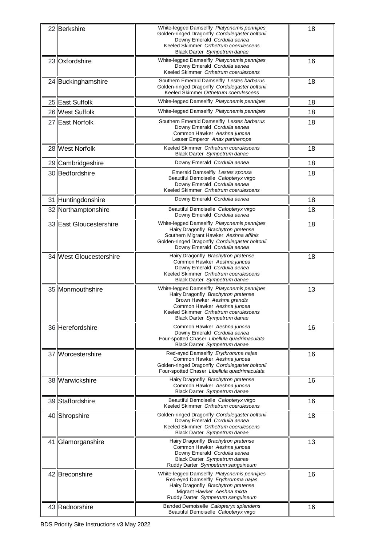| 22 Berkshire            | White-legged Damselfly Platycnemis pennipes<br>Golden-ringed Dragonfly Cordulegaster boltonii<br>Downy Emerald Cordulia aenea<br>Keeled Skimmer Orthetrum coerulescens<br>Black Darter Sympetrum danae                    | 18 |
|-------------------------|---------------------------------------------------------------------------------------------------------------------------------------------------------------------------------------------------------------------------|----|
| 23 Oxfordshire          | White-legged Damselfly Platycnemis pennipes<br>Downy Emerald Cordulia aenea<br>Keeled Skimmer Orthetrum coerulescens                                                                                                      | 16 |
| 24 Buckinghamshire      | Southern Emerald Damselfly Lestes barbarus<br>Golden-ringed Dragonfly Cordulegaster boltonii<br>Keeled Skimmer Orthetrum coerulescens                                                                                     | 18 |
| 25 East Suffolk         | White-legged Damselfly Platycnemis pennipes                                                                                                                                                                               | 18 |
| 26 West Suffolk         | White-legged Damselfly Platycnemis pennipes                                                                                                                                                                               | 18 |
| 27 East Norfolk         | Southern Emerald Damselfly Lestes barbarus<br>Downy Emerald Cordulia aenea<br>Common Hawker Aeshna juncea<br>Lesser Emperor Anax parthenope                                                                               | 18 |
| 28 West Norfolk         | Keeled Skimmer Orthetrum coerulescens<br>Black Darter Sympetrum danae                                                                                                                                                     | 18 |
| 29 Cambridgeshire       | Downy Emerald Cordulia aenea                                                                                                                                                                                              | 18 |
| 30 Bedfordshire         | Emerald Damselfly Lestes sponsa<br>Beautiful Demoiselle Calopteryx virgo<br>Downy Emerald Cordulia aenea<br>Keeled Skimmer Orthetrum coerulescens                                                                         | 18 |
| 31 Huntingdonshire      | Downy Emerald Cordulia aenea                                                                                                                                                                                              | 18 |
| 32 Northamptonshire     | Beautiful Demoiselle Calopteryx virgo<br>Downy Emerald Cordulia aenea                                                                                                                                                     | 18 |
| 33 East Gloucestershire | White-legged Damselfly Platycnemis pennipes<br>Hairy Dragonfly Brachytron pretense<br>Southern Migrant Hawker Aeshna affinis<br>Golden-ringed Dragonfly Cordulegaster boltonii<br>Downy Emerald Cordulia aenea            | 18 |
| 34 West Gloucestershire | Hairy Dragonfly Brachytron pratense<br>Common Hawker Aeshna juncea<br>Downy Emerald Cordulia aenea<br>Keeled Skimmer Orthetrum coerulescens<br>Black Darter Sympetrum danae                                               | 18 |
| 35 Monmouthshire        | White-legged Damselfly Platycnemis pennipes<br>Hairy Dragonfly Brachytron pratense<br>Brown Hawker Aeshna grandis<br>Common Hawker Aeshna juncea<br>Keeled Skimmer Orthetrum coerulescens<br>Black Darter Sympetrum danae | 13 |
| 36 Herefordshire        | Common Hawker Aeshna juncea<br>Downy Emerald Cordulia aenea<br>Four-spotted Chaser Libellula quadrimaculata<br>Black Darter Sympetrum danae                                                                               | 16 |
| 37 Worcestershire       | Red-eyed Damselfly Erythromma najas<br>Common Hawker Aeshna juncea<br>Golden-ringed Dragonfly Cordulegaster boltonii<br>Four-spotted Chaser Libellula quadrimaculata                                                      | 16 |
| 38 Warwickshire         | Hairy Dragonfly Brachytron pratense<br>Common Hawker Aeshna juncea<br>Black Darter Sympetrum danae                                                                                                                        | 16 |
| 39 Staffordshire        | Beautiful Demoiselle Calopteryx virgo<br>Keeled Skimmer Orthetrum coerulescens                                                                                                                                            | 16 |
| 40 Shropshire           | Golden-ringed Dragonfly Cordulegaster boltonii<br>Downy Emerald Cordulia aenea<br>Keeled Skimmer Orthetrum coerulescens<br>Black Darter Sympetrum danae                                                                   | 18 |
| 41 Glamorganshire       | Hairy Dragonfly Brachytron pratense<br>Common Hawker Aeshna juncea<br>Downy Emerald Cordulia aenea<br>Black Darter Sympetrum danae<br>Ruddy Darter Sympetrum sanguineum                                                   | 13 |
| 42 Breconshire          | White-legged Damselfly Platycnemis pennipes<br>Red-eyed Damselfly Erythromma najas<br>Hairy Dragonfly Brachytron pratense<br>Migrant Hawker Aeshna mixta<br>Ruddy Darter Sympetrum sanguineum                             | 16 |
| 43 Radnorshire          | Banded Demoiselle Calopteryx splendens<br>Beautiful Demoiselle Calopteryx virgo                                                                                                                                           | 16 |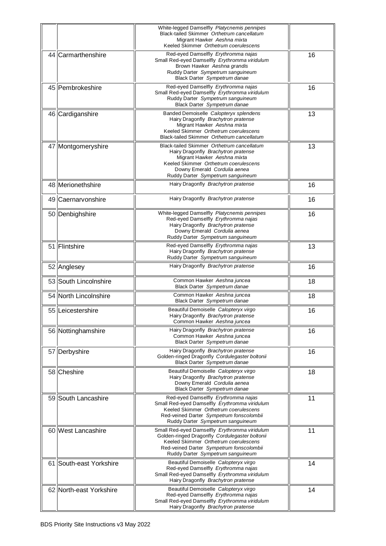|    |                         | White-legged Damselfly Platycnemis pennipes<br>Black-tailed Skimmer Orthetrum cancellatum<br>Migrant Hawker Aeshna mixta<br>Keeled Skimmer Orthetrum coerulescens                                                              |    |
|----|-------------------------|--------------------------------------------------------------------------------------------------------------------------------------------------------------------------------------------------------------------------------|----|
|    | 44 Carmarthenshire      | Red-eyed Damselfly Erythromma najas<br>Small Red-eyed Damselfly Erythromma viridulum<br>Brown Hawker Aeshna grandis<br>Ruddy Darter Sympetrum sanguineum<br>Black Darter Sympetrum danae                                       | 16 |
|    | 45 Pembrokeshire        | Red-eyed Damselfly Erythromma najas<br>Small Red-eyed Damselfly Erythromma viridulum<br>Ruddy Darter Sympetrum sanguineum<br>Black Darter Sympetrum danae                                                                      | 16 |
| 46 | Cardiganshire           | Banded Demoiselle Calopteryx splendens<br>Hairy Dragonfly Brachytron pratense<br>Migrant Hawker Aeshna mixta<br>Keeled Skimmer Orthetrum coerulescens<br>Black-tailed Skimmer Orthetrum cancellatum                            | 13 |
|    | 47 Montgomeryshire      | Black-tailed Skimmer Orthetrum cancellatum<br>Hairy Dragonfly Brachytron pratense<br>Migrant Hawker Aeshna mixta<br>Keeled Skimmer Orthetrum coerulescens<br>Downy Emerald Cordulia aenea<br>Ruddy Darter Sympetrum sanguineum | 13 |
|    | 48 Merionethshire       | Hairy Dragonfly Brachytron pratense                                                                                                                                                                                            | 16 |
|    | 49 Caernarvonshire      | Hairy Dragonfly Brachytron pratense                                                                                                                                                                                            | 16 |
|    | 50 Denbighshire         | White-legged Damselfly Platycnemis pennipes<br>Red-eyed Damselfly Erythromma najas<br>Hairy Dragonfly Brachytron pratense<br>Downy Emerald Cordulia aenea<br>Ruddy Darter Sympetrum sanguineum                                 | 16 |
|    | 51 Flintshire           | Red-eyed Damselfly Erythromma najas<br>Hairy Dragonfly Brachytron pratense<br>Ruddy Darter Sympetrum sanguineum                                                                                                                | 13 |
|    | 52 Anglesey             | Hairy Dragonfly Brachytron pratense                                                                                                                                                                                            | 16 |
| 53 | South Lincolnshire      | Common Hawker Aeshna juncea<br>Black Darter Sympetrum danae                                                                                                                                                                    | 18 |
|    | 54 North Lincolnshire   | Common Hawker Aeshna juncea<br>Black Darter Sympetrum danae                                                                                                                                                                    | 18 |
|    | 55 Leicestershire       | Beautiful Demoiselle Calopteryx virgo<br>Hairy Dragonfly Brachytron pratense<br>Common Hawker Aeshna juncea                                                                                                                    | 16 |
|    | 56 Nottinghamshire      | Hairy Dragonfly Brachytron pratense<br>Common Hawker Aeshna juncea<br>Black Darter Sympetrum danae                                                                                                                             | 16 |
|    | 57 Derbyshire           | Hairy Dragonfly Brachytron pratense<br>Golden-ringed Dragonfly Cordulegaster boltonii<br>Black Darter Sympetrum danae                                                                                                          | 16 |
|    | 58 Cheshire             | Beautiful Demoiselle Calopteryx virgo<br>Hairy Dragonfly Brachytron pratense<br>Downy Emerald Cordulia aenea<br>Black Darter Sympetrum danae                                                                                   | 18 |
|    | 59 South Lancashire     | Red-eyed Damselfly Erythromma najas<br>Small Red-eyed Damselfly Erythromma viridulum<br>Keeled Skimmer Orthetrum coerulescens<br>Red-veined Darter Sympetrum fonscolombii<br>Ruddy Darter Sympetrum sanguineum                 | 11 |
|    | 60 West Lancashire      | Small Red-eyed Damselfly Erythromma viridulum<br>Golden-ringed Dragonfly Cordulegaster boltonii<br>Keeled Skimmer Orthetrum coerulescens<br>Red-veined Darter Sympetrum fonscolombii<br>Ruddy Darter Sympetrum sanguineum      | 11 |
| 61 | South-east Yorkshire    | Beautiful Demoiselle Calopteryx virgo<br>Red-eyed Damselfly Erythromma najas<br>Small Red-eyed Damselfly Erythromma viridulum<br>Hairy Dragonfly Brachytron pratense                                                           | 14 |
|    | 62 North-east Yorkshire | Beautiful Demoiselle Calopteryx virgo<br>Red-eyed Damselfly Erythromma najas<br>Small Red-eyed Damselfly Erythromma viridulum<br>Hairy Dragonfly Brachytron pratense                                                           | 14 |